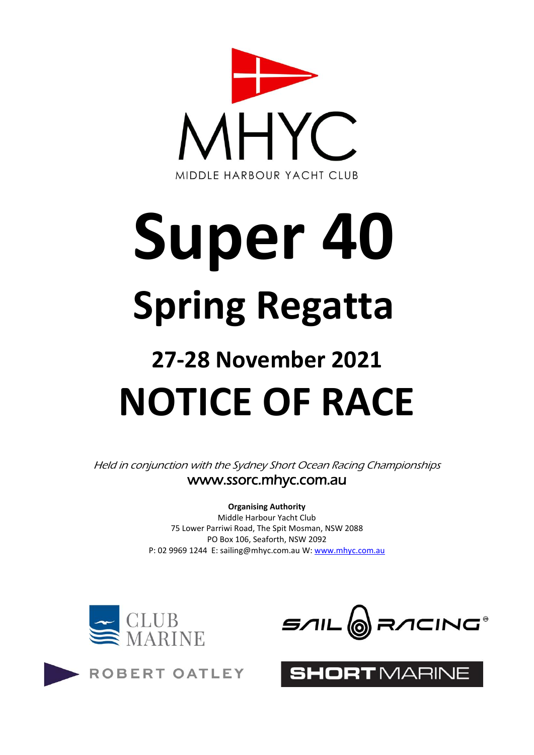

# **Super 40 Spring Regatta**

## **27-28 November 2021 NOTICE OF RACE**

Held in conjunction with the Sydney Short Ocean Racing Championships www.ssorc.mhyc.com.au

> **Organising Authority** Middle Harbour Yacht Club 75 Lower Parriwi Road, The Spit Mosman, NSW 2088 PO Box 106, Seaforth, NSW 2092 P: 02 9969 1244 E: sailing@mhyc.com.au W: [www.mhyc.com.au](http://www.mhyc.com.au/)



ROBERT OATLEY



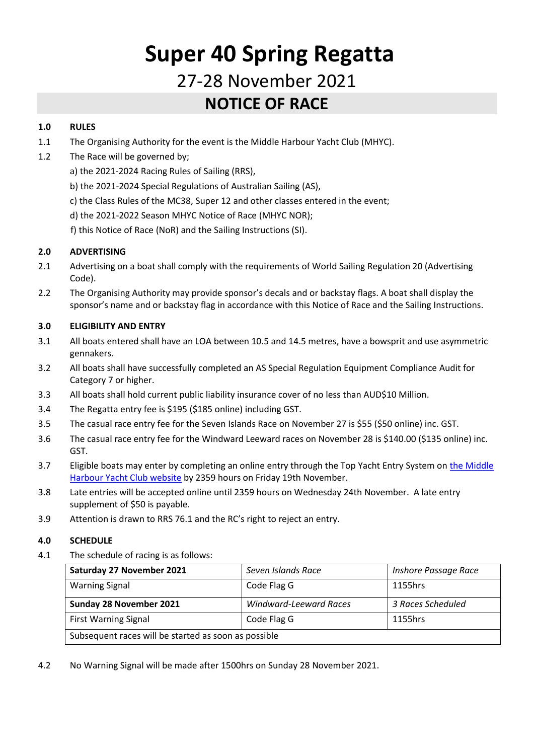### **Super 40 Spring Regatta** 27-28 November 2021 **NOTICE OF RACE**

#### **1.0 RULES**

- 1.1 The Organising Authority for the event is the Middle Harbour Yacht Club (MHYC).
- 1.2 The Race will be governed by;
	- a) the 2021-2024 Racing Rules of Sailing (RRS),
	- b) the 2021-2024 Special Regulations of Australian Sailing (AS),
	- c) the Class Rules of the MC38, Super 12 and other classes entered in the event;
	- d) the 2021-2022 Season MHYC Notice of Race (MHYC NOR);
	- f) this Notice of Race (NoR) and the Sailing Instructions (SI).

#### **2.0 ADVERTISING**

- 2.1 Advertising on a boat shall comply with the requirements of World Sailing Regulation 20 (Advertising Code).
- 2.2 The Organising Authority may provide sponsor's decals and or backstay flags. A boat shall display the sponsor's name and or backstay flag in accordance with this Notice of Race and the Sailing Instructions.

#### **3.0 ELIGIBILITY AND ENTRY**

- 3.1 All boats entered shall have an LOA between 10.5 and 14.5 metres, have a bowsprit and use asymmetric gennakers.
- 3.2 All boats shall have successfully completed an AS Special Regulation Equipment Compliance Audit for Category 7 or higher.
- 3.3 All boats shall hold current public liability insurance cover of no less than AUD\$10 Million.
- 3.4 The Regatta entry fee is \$195 (\$185 online) including GST.
- 3.5 The casual race entry fee for the Seven Islands Race on November 27 is \$55 (\$50 online) inc. GST.
- 3.6 The casual race entry fee for the Windward Leeward races on November 28 is \$140.00 (\$135 online) inc. GST.
- 3.7 Eligible boats may enter by completing an online entry through the Top Yacht Entry System on [the Middle](https://mhyc.com.au/sailing/regattas-championships/super-group-spring-regatta)  [Harbour Yacht Club website](https://mhyc.com.au/sailing/regattas-championships/super-group-spring-regatta) by 2359 hours on Friday 19th November.
- 3.8 Late entries will be accepted online until 2359 hours on Wednesday 24th November. A late entry supplement of \$50 is payable.
- 3.9 Attention is drawn to RRS 76.1 and the RC's right to reject an entry.

#### **4.0 SCHEDULE**

4.1 The schedule of racing is as follows:

| Saturday 27 November 2021                            | Seven Islands Race            | Inshore Passage Race |
|------------------------------------------------------|-------------------------------|----------------------|
| <b>Warning Signal</b>                                | Code Flag G                   | 1155hrs              |
| Sunday 28 November 2021                              | <b>Windward-Leeward Races</b> | 3 Races Scheduled    |
| <b>First Warning Signal</b>                          | Code Flag G                   | 1155hrs              |
| Subsequent races will be started as soon as possible |                               |                      |

4.2 No Warning Signal will be made after 1500hrs on Sunday 28 November 2021.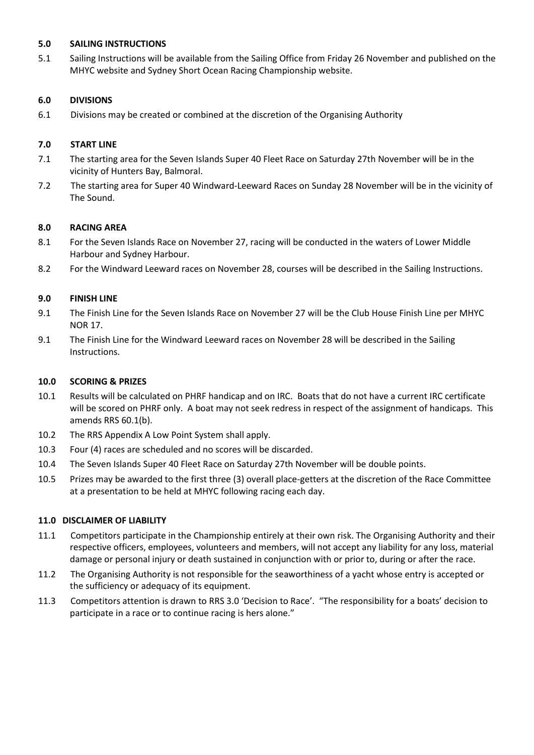#### **5.0 SAILING INSTRUCTIONS**

5.1 Sailing Instructions will be available from the Sailing Office from Friday 26 November and published on the MHYC website and Sydney Short Ocean Racing Championship website.

#### **6.0 DIVISIONS**

6.1 Divisions may be created or combined at the discretion of the Organising Authority

#### **7.0 START LINE**

- 7.1 The starting area for the Seven Islands Super 40 Fleet Race on Saturday 27th November will be in the vicinity of Hunters Bay, Balmoral.
- 7.2 The starting area for Super 40 Windward-Leeward Races on Sunday 28 November will be in the vicinity of The Sound.

#### **8.0 RACING AREA**

- 8.1 For the Seven Islands Race on November 27, racing will be conducted in the waters of Lower Middle Harbour and Sydney Harbour.
- 8.2 For the Windward Leeward races on November 28, courses will be described in the Sailing Instructions.

#### **9.0 FINISH LINE**

- 9.1 The Finish Line for the Seven Islands Race on November 27 will be the Club House Finish Line per MHYC NOR 17.
- 9.1 The Finish Line for the Windward Leeward races on November 28 will be described in the Sailing Instructions.

#### **10.0 SCORING & PRIZES**

- 10.1 Results will be calculated on PHRF handicap and on IRC. Boats that do not have a current IRC certificate will be scored on PHRF only. A boat may not seek redress in respect of the assignment of handicaps. This amends RRS 60.1(b).
- 10.2 The RRS Appendix A Low Point System shall apply.
- 10.3 Four (4) races are scheduled and no scores will be discarded.
- 10.4 The Seven Islands Super 40 Fleet Race on Saturday 27th November will be double points.
- 10.5 Prizes may be awarded to the first three (3) overall place-getters at the discretion of the Race Committee at a presentation to be held at MHYC following racing each day.

#### **11.0 DISCLAIMER OF LIABILITY**

- 11.1 Competitors participate in the Championship entirely at their own risk. The Organising Authority and their respective officers, employees, volunteers and members, will not accept any liability for any loss, material damage or personal injury or death sustained in conjunction with or prior to, during or after the race.
- 11.2 The Organising Authority is not responsible for the seaworthiness of a yacht whose entry is accepted or the sufficiency or adequacy of its equipment.
- 11.3 Competitors attention is drawn to RRS 3.0 'Decision to Race'. "The responsibility for a boats' decision to participate in a race or to continue racing is hers alone."